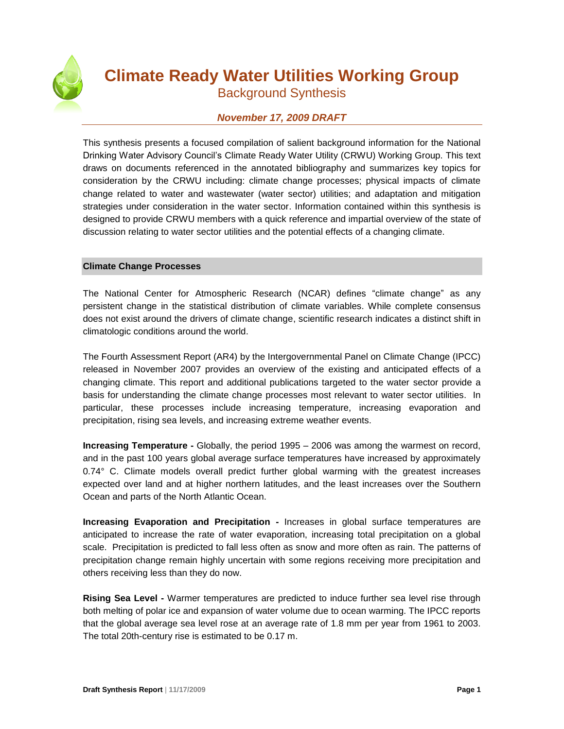

# **Climate Ready Water Utilities Working Group**

Background Synthesis

# *November 17, 2009 DRAFT*

This synthesis presents a focused compilation of salient background information for the National Drinking Water Advisory Council's Climate Ready Water Utility (CRWU) Working Group. This text draws on documents referenced in the annotated bibliography and summarizes key topics for consideration by the CRWU including: climate change processes; physical impacts of climate change related to water and wastewater (water sector) utilities; and adaptation and mitigation strategies under consideration in the water sector. Information contained within this synthesis is designed to provide CRWU members with a quick reference and impartial overview of the state of discussion relating to water sector utilities and the potential effects of a changing climate.

## **Climate Change Processes**

The National Center for Atmospheric Research (NCAR) defines "climate change" as any persistent change in the statistical distribution of climate variables. While complete consensus does not exist around the drivers of climate change, scientific research indicates a distinct shift in climatologic conditions around the world.

The Fourth Assessment Report (AR4) by the Intergovernmental Panel on Climate Change (IPCC) released in November 2007 provides an overview of the existing and anticipated effects of a changing climate. This report and additional publications targeted to the water sector provide a basis for understanding the climate change processes most relevant to water sector utilities. In particular, these processes include increasing temperature, increasing evaporation and precipitation, rising sea levels, and increasing extreme weather events.

**Increasing Temperature -** Globally, the period 1995 – 2006 was among the warmest on record, and in the past 100 years global average surface temperatures have increased by approximately 0.74° C. Climate models overall predict further global warming with the greatest increases expected over land and at higher northern latitudes, and the least increases over the Southern Ocean and parts of the North Atlantic Ocean.

**Increasing Evaporation and Precipitation -** Increases in global surface temperatures are anticipated to increase the rate of water evaporation, increasing total precipitation on a global scale. Precipitation is predicted to fall less often as snow and more often as rain. The patterns of precipitation change remain highly uncertain with some regions receiving more precipitation and others receiving less than they do now.

**Rising Sea Level -** Warmer temperatures are predicted to induce further sea level rise through both melting of polar ice and expansion of water volume due to ocean warming. The IPCC reports that the global average sea level rose at an average rate of 1.8 mm per year from 1961 to 2003. The total 20th-century rise is estimated to be 0.17 m.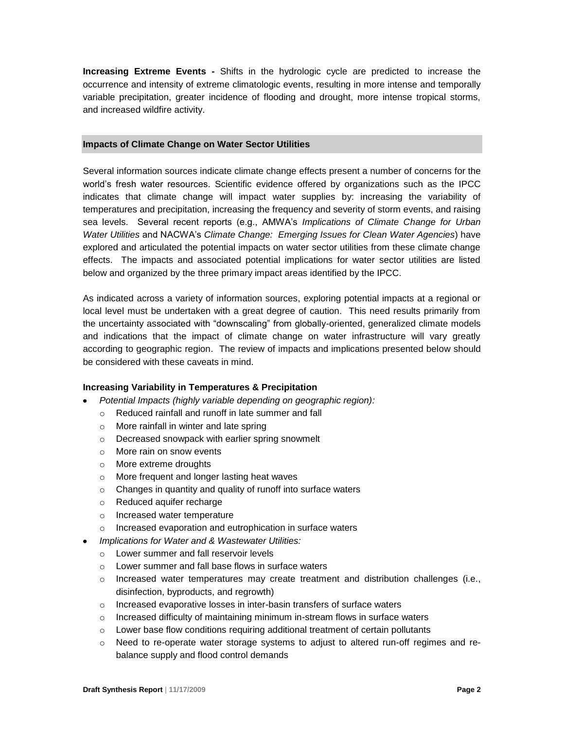**Increasing Extreme Events -** Shifts in the hydrologic cycle are predicted to increase the occurrence and intensity of extreme climatologic events, resulting in more intense and temporally variable precipitation, greater incidence of flooding and drought, more intense tropical storms, and increased wildfire activity.

#### **Impacts of Climate Change on Water Sector Utilities**

Several information sources indicate climate change effects present a number of concerns for the world's fresh water resources. Scientific evidence offered by organizations such as the IPCC indicates that climate change will impact water supplies by: increasing the variability of temperatures and precipitation, increasing the frequency and severity of storm events, and raising sea levels. Several recent reports (e.g., AMWA's *Implications of Climate Change for Urban Water Utilities* and NACWA's *Climate Change: Emerging Issues for Clean Water Agencies*) have explored and articulated the potential impacts on water sector utilities from these climate change effects. The impacts and associated potential implications for water sector utilities are listed below and organized by the three primary impact areas identified by the IPCC.

As indicated across a variety of information sources, exploring potential impacts at a regional or local level must be undertaken with a great degree of caution. This need results primarily from the uncertainty associated with "downscaling" from globally-oriented, generalized climate models and indications that the impact of climate change on water infrastructure will vary greatly according to geographic region. The review of impacts and implications presented below should be considered with these caveats in mind.

#### **Increasing Variability in Temperatures & Precipitation**

- *Potential Impacts (highly variable depending on geographic region):*
	- o Reduced rainfall and runoff in late summer and fall
	- o More rainfall in winter and late spring
	- o Decreased snowpack with earlier spring snowmelt
	- o More rain on snow events
	- o More extreme droughts
	- o More frequent and longer lasting heat waves
	- o Changes in quantity and quality of runoff into surface waters
	- o Reduced aquifer recharge
	- o Increased water temperature
	- o Increased evaporation and eutrophication in surface waters
- *Implications for Water and & Wastewater Utilities:*
	- o Lower summer and fall reservoir levels
	- o Lower summer and fall base flows in surface waters
	- $\circ$  Increased water temperatures may create treatment and distribution challenges (i.e., disinfection, byproducts, and regrowth)
	- o Increased evaporative losses in inter-basin transfers of surface waters
	- $\circ$  Increased difficulty of maintaining minimum in-stream flows in surface waters
	- $\circ$  Lower base flow conditions requiring additional treatment of certain pollutants
	- $\circ$  Need to re-operate water storage systems to adjust to altered run-off regimes and rebalance supply and flood control demands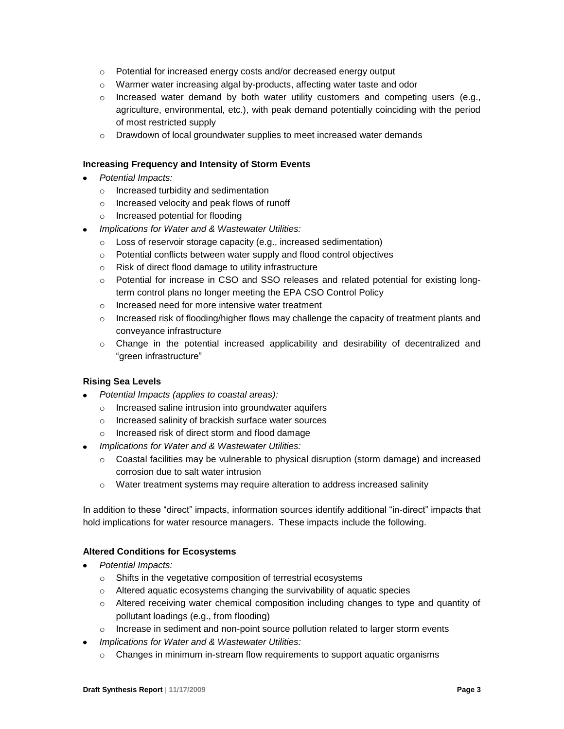- o Potential for increased energy costs and/or decreased energy output
- $\circ$  Warmer water increasing algal by-products, affecting water taste and odor
- $\circ$  Increased water demand by both water utility customers and competing users (e.g., agriculture, environmental, etc.), with peak demand potentially coinciding with the period of most restricted supply
- o Drawdown of local groundwater supplies to meet increased water demands

#### **Increasing Frequency and Intensity of Storm Events**

- *Potential Impacts:*
	- o Increased turbidity and sedimentation
	- o Increased velocity and peak flows of runoff
	- o Increased potential for flooding
- *Implications for Water and & Wastewater Utilities:*
	- o Loss of reservoir storage capacity (e.g., increased sedimentation)
	- o Potential conflicts between water supply and flood control objectives
	- o Risk of direct flood damage to utility infrastructure
	- $\circ$  Potential for increase in CSO and SSO releases and related potential for existing longterm control plans no longer meeting the EPA CSO Control Policy
	- o Increased need for more intensive water treatment
	- $\circ$  Increased risk of flooding/higher flows may challenge the capacity of treatment plants and conveyance infrastructure
	- o Change in the potential increased applicability and desirability of decentralized and "green infrastructure"

#### **Rising Sea Levels**

- *Potential Impacts (applies to coastal areas):*
	- o Increased saline intrusion into groundwater aquifers
	- o Increased salinity of brackish surface water sources
	- o Increased risk of direct storm and flood damage
- *Implications for Water and & Wastewater Utilities:*
	- $\circ$  Coastal facilities may be vulnerable to physical disruption (storm damage) and increased corrosion due to salt water intrusion
	- $\circ$  Water treatment systems may require alteration to address increased salinity

In addition to these "direct" impacts, information sources identify additional "in-direct" impacts that hold implications for water resource managers. These impacts include the following.

#### **Altered Conditions for Ecosystems**

- *Potential Impacts:*
	- o Shifts in the vegetative composition of terrestrial ecosystems
	- o Altered aquatic ecosystems changing the survivability of aquatic species
	- $\circ$  Altered receiving water chemical composition including changes to type and quantity of pollutant loadings (e.g., from flooding)
	- $\circ$  Increase in sediment and non-point source pollution related to larger storm events
- *Implications for Water and & Wastewater Utilities:*
	- $\circ$  Changes in minimum in-stream flow requirements to support aquatic organisms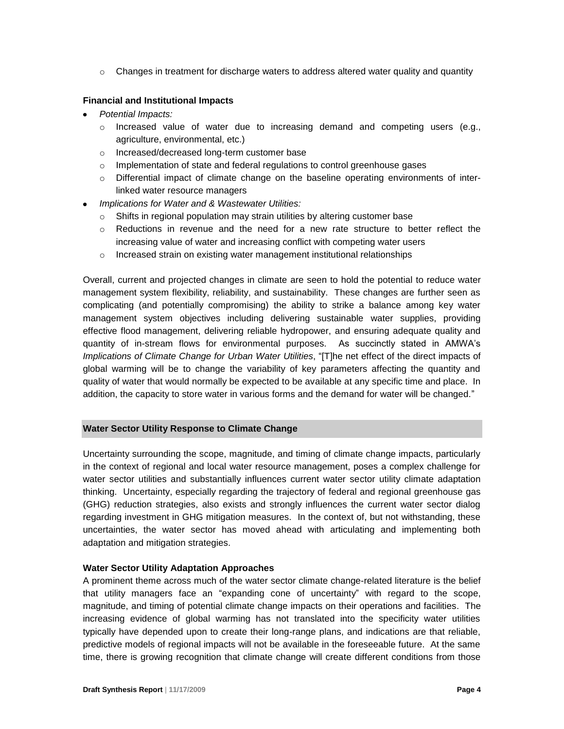$\circ$  Changes in treatment for discharge waters to address altered water quality and quantity

### **Financial and Institutional Impacts**

- *Potential Impacts:*
	- $\circ$  Increased value of water due to increasing demand and competing users (e.g., agriculture, environmental, etc.)
	- o Increased/decreased long-term customer base
	- $\circ$  Implementation of state and federal regulations to control greenhouse gases
	- o Differential impact of climate change on the baseline operating environments of interlinked water resource managers
- *Implications for Water and & Wastewater Utilities:*
	- $\circ$  Shifts in regional population may strain utilities by altering customer base
	- $\circ$  Reductions in revenue and the need for a new rate structure to better reflect the increasing value of water and increasing conflict with competing water users
	- o Increased strain on existing water management institutional relationships

Overall, current and projected changes in climate are seen to hold the potential to reduce water management system flexibility, reliability, and sustainability. These changes are further seen as complicating (and potentially compromising) the ability to strike a balance among key water management system objectives including delivering sustainable water supplies, providing effective flood management, delivering reliable hydropower, and ensuring adequate quality and quantity of in-stream flows for environmental purposes. As succinctly stated in AMWA's *Implications of Climate Change for Urban Water Utilities*, "[T]he net effect of the direct impacts of global warming will be to change the variability of key parameters affecting the quantity and quality of water that would normally be expected to be available at any specific time and place. In addition, the capacity to store water in various forms and the demand for water will be changed."

#### **Water Sector Utility Response to Climate Change**

Uncertainty surrounding the scope, magnitude, and timing of climate change impacts, particularly in the context of regional and local water resource management, poses a complex challenge for water sector utilities and substantially influences current water sector utility climate adaptation thinking. Uncertainty, especially regarding the trajectory of federal and regional greenhouse gas (GHG) reduction strategies, also exists and strongly influences the current water sector dialog regarding investment in GHG mitigation measures. In the context of, but not withstanding, these uncertainties, the water sector has moved ahead with articulating and implementing both adaptation and mitigation strategies.

#### **Water Sector Utility Adaptation Approaches**

A prominent theme across much of the water sector climate change-related literature is the belief that utility managers face an "expanding cone of uncertainty" with regard to the scope, magnitude, and timing of potential climate change impacts on their operations and facilities. The increasing evidence of global warming has not translated into the specificity water utilities typically have depended upon to create their long-range plans, and indications are that reliable, predictive models of regional impacts will not be available in the foreseeable future. At the same time, there is growing recognition that climate change will create different conditions from those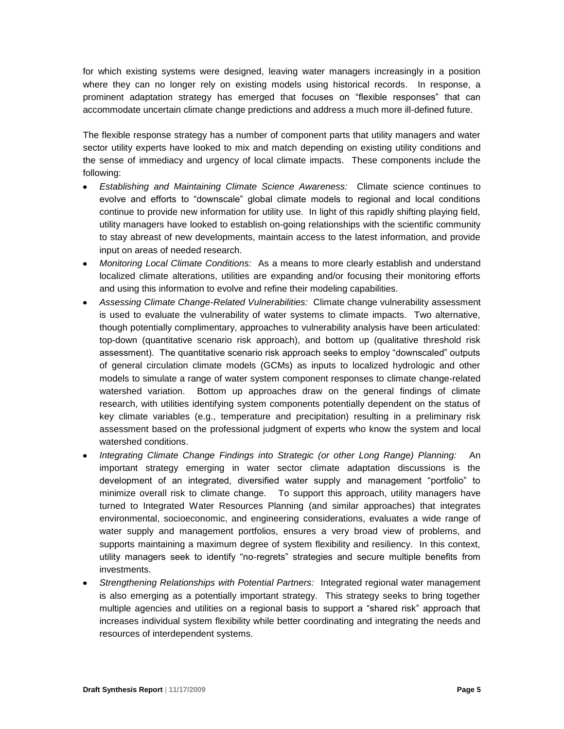for which existing systems were designed, leaving water managers increasingly in a position where they can no longer rely on existing models using historical records. In response, a prominent adaptation strategy has emerged that focuses on "flexible responses" that can accommodate uncertain climate change predictions and address a much more ill-defined future.

The flexible response strategy has a number of component parts that utility managers and water sector utility experts have looked to mix and match depending on existing utility conditions and the sense of immediacy and urgency of local climate impacts. These components include the following:

- *Establishing and Maintaining Climate Science Awareness:* Climate science continues to evolve and efforts to "downscale" global climate models to regional and local conditions continue to provide new information for utility use. In light of this rapidly shifting playing field, utility managers have looked to establish on-going relationships with the scientific community to stay abreast of new developments, maintain access to the latest information, and provide input on areas of needed research.
- *Monitoring Local Climate Conditions:* As a means to more clearly establish and understand localized climate alterations, utilities are expanding and/or focusing their monitoring efforts and using this information to evolve and refine their modeling capabilities.
- *Assessing Climate Change-Related Vulnerabilities:* Climate change vulnerability assessment is used to evaluate the vulnerability of water systems to climate impacts. Two alternative, though potentially complimentary, approaches to vulnerability analysis have been articulated: top-down (quantitative scenario risk approach), and bottom up (qualitative threshold risk assessment). The quantitative scenario risk approach seeks to employ "downscaled" outputs of general circulation climate models (GCMs) as inputs to localized hydrologic and other models to simulate a range of water system component responses to climate change-related watershed variation. Bottom up approaches draw on the general findings of climate research, with utilities identifying system components potentially dependent on the status of key climate variables (e.g., temperature and precipitation) resulting in a preliminary risk assessment based on the professional judgment of experts who know the system and local watershed conditions.
- *Integrating Climate Change Findings into Strategic (or other Long Range) Planning:* An important strategy emerging in water sector climate adaptation discussions is the development of an integrated, diversified water supply and management "portfolio" to minimize overall risk to climate change. To support this approach, utility managers have turned to Integrated Water Resources Planning (and similar approaches) that integrates environmental, socioeconomic, and engineering considerations, evaluates a wide range of water supply and management portfolios, ensures a very broad view of problems, and supports maintaining a maximum degree of system flexibility and resiliency. In this context, utility managers seek to identify "no-regrets" strategies and secure multiple benefits from investments.
- *Strengthening Relationships with Potential Partners:* Integrated regional water management is also emerging as a potentially important strategy. This strategy seeks to bring together multiple agencies and utilities on a regional basis to support a "shared risk" approach that increases individual system flexibility while better coordinating and integrating the needs and resources of interdependent systems.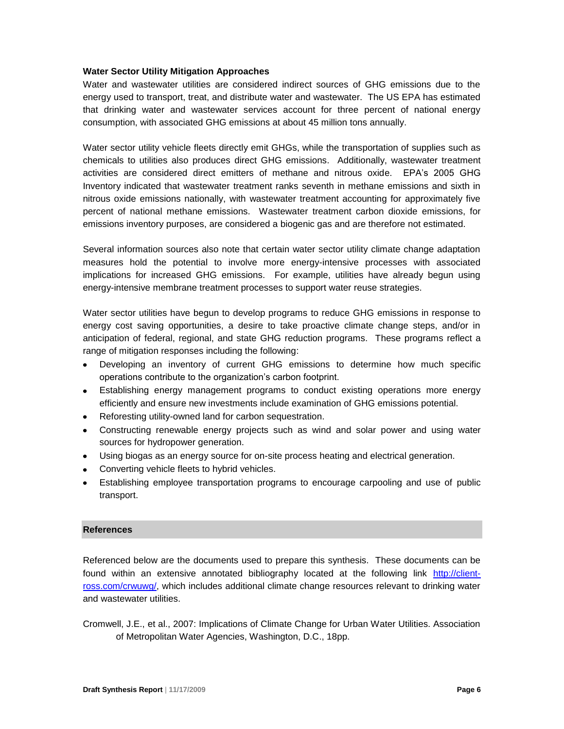#### **Water Sector Utility Mitigation Approaches**

Water and wastewater utilities are considered indirect sources of GHG emissions due to the energy used to transport, treat, and distribute water and wastewater. The US EPA has estimated that drinking water and wastewater services account for three percent of national energy consumption, with associated GHG emissions at about 45 million tons annually.

Water sector utility vehicle fleets directly emit GHGs, while the transportation of supplies such as chemicals to utilities also produces direct GHG emissions. Additionally, wastewater treatment activities are considered direct emitters of methane and nitrous oxide. EPA's 2005 GHG Inventory indicated that wastewater treatment ranks seventh in methane emissions and sixth in nitrous oxide emissions nationally, with wastewater treatment accounting for approximately five percent of national methane emissions. Wastewater treatment carbon dioxide emissions, for emissions inventory purposes, are considered a biogenic gas and are therefore not estimated.

Several information sources also note that certain water sector utility climate change adaptation measures hold the potential to involve more energy-intensive processes with associated implications for increased GHG emissions. For example, utilities have already begun using energy-intensive membrane treatment processes to support water reuse strategies.

Water sector utilities have begun to develop programs to reduce GHG emissions in response to energy cost saving opportunities, a desire to take proactive climate change steps, and/or in anticipation of federal, regional, and state GHG reduction programs. These programs reflect a range of mitigation responses including the following:

- $\bullet$ Developing an inventory of current GHG emissions to determine how much specific operations contribute to the organization's carbon footprint.
- Establishing energy management programs to conduct existing operations more energy efficiently and ensure new investments include examination of GHG emissions potential.
- Reforesting utility-owned land for carbon sequestration.
- Constructing renewable energy projects such as wind and solar power and using water sources for hydropower generation.
- Using biogas as an energy source for on-site process heating and electrical generation.
- Converting vehicle fleets to hybrid vehicles.
- Establishing employee transportation programs to encourage carpooling and use of public transport.

#### **References**

Referenced below are the documents used to prepare this synthesis. These documents can be found within an extensive annotated bibliography located at the following link [http://client](http://client-ross.com/crwuwg/)[ross.com/crwuwg/,](http://client-ross.com/crwuwg/) which includes additional climate change resources relevant to drinking water and wastewater utilities.

Cromwell, J.E., et al., 2007: Implications of Climate Change for Urban Water Utilities. Association of Metropolitan Water Agencies, Washington, D.C., 18pp.